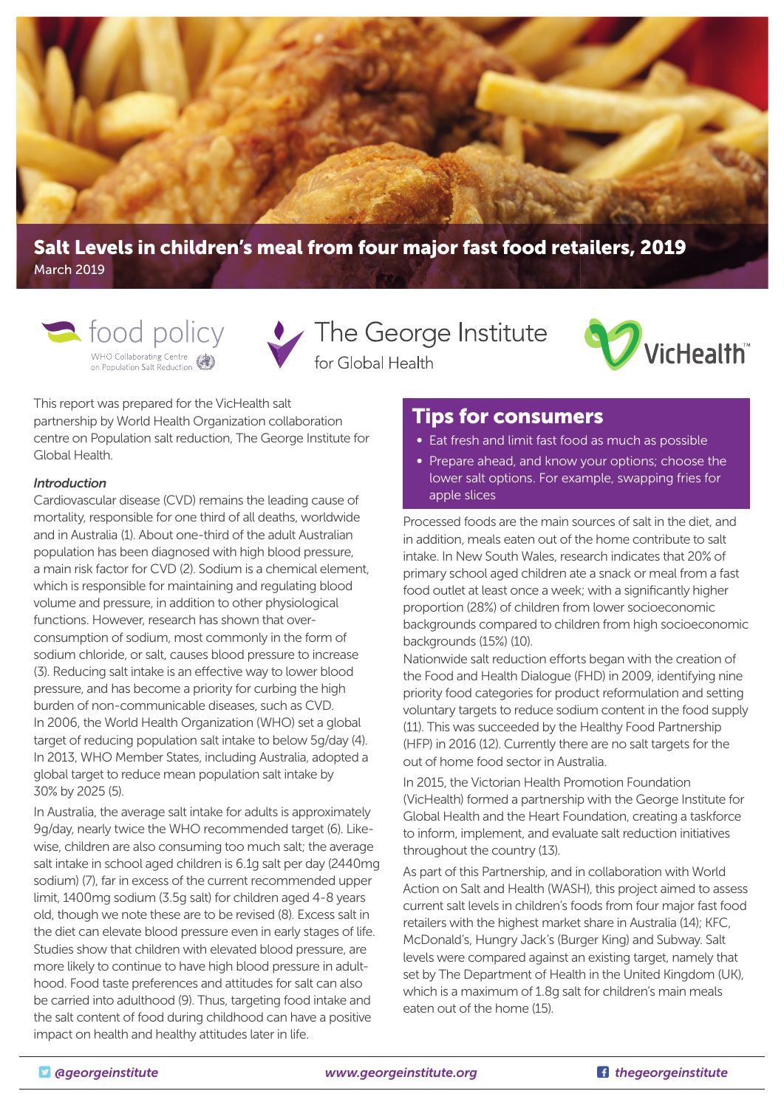

# **Salt Levels in children's meal from four major fast food retailers, 2019** March 2019



• The George Institute for Global Health



This report was prepared for the VicHealth salt partnership by World Health Organization collaboration centre on Population salt reduction, The George Institute for Global Health.

#### *Introduction*

Cardiovascular disease (CVD) remains the leading cause of mortality, responsible for one third of all deaths, worldwide and in Australia (1). About one-third of the adult Australian population has been diagnosed with high blood pressure, a main risk factor for CVD (2). Sodium is a chemical element, which is responsible for maintaining and regulating blood volume and pressure, in addition to other physiological functions. However, research has shown that overconsumption of sodium, most commonly in the form of sodium chloride, or salt, causes blood pressure to increase (3). Reducing salt intake is an effective way to lower blood pressure, and has become a priority for curbing the high burden of non-communicable diseases, such as CVD. In 2006, the World Health Organization (WHO) set a global target of reducing population salt intake to below 5g/day (4). In 2013, WHO Member States, including Australia, adopted a global target to reduce mean population salt intake by 30% by 2025 (5).

In Australia, the average salt intake for adults is approximately 9g/day, nearly twice the WHO recommended target (6). Likewise, children are also consuming too much salt; the average salt intake in school aged children is 6.1g salt per day (2440mg sodium) (7), far in excess of the current recommended upper limit, 1400mg sodium (3.5g salt) for children aged 4-8 years old, though we note these are to be revised (8). Excess salt in the diet can elevate blood pressure even in early stages of life. Studies show that children with elevated blood pressure, are more likely to continue to have high blood pressure in adulthood. Food taste preferences and attitudes for salt can also be carried into adulthood (9). Thus, targeting food intake and the salt content of food during childhood can have a positive impact on health and healthy attitudes later in life.

# **Tips for consumers**

- Eat fresh and limit fast food as much as possible
- Prepare ahead, and know your options; choose the lower salt options. For example, swapping fries for apple slices

Processed foods are the main sources of salt in the diet, and in addition, meals eaten out of the home contribute to salt intake. In New South Wales, research indicates that 20% of primary school aged children ate a snack or meal from a fast food outlet at least once a week; with a significantly higher proportion (28%) of children from lower socioeconomic backgrounds compared to children from high socioeconomic backgrounds (15%) (10).

Nationwide salt reduction efforts began with the creation of the Food and Health Dialogue (FHD) in 2009, identifying nine priority food categories for product reformulation and setting voluntary targets to reduce sodium content in the food supply (11). This was succeeded by the Healthy Food Partnership (HFP) in 2016 (12). Currently there are no salt targets for the out of home food sector in Australia.

In 2015, the Victorian Health Promotion Foundation (VicHealth) formed a partnership with the George Institute for Global Health and the Heart Foundation, creating a taskforce to inform, implement, and evaluate salt reduction initiatives throughout the country (13).

As part of this Partnership, and in collaboration with World Action on Salt and Health (WASH), this project aimed to assess current salt levels in children's foods from four major fast food retailers with the highest market share in Australia (14); KFC, McDonald's, Hungry Jack's (Burger King) and Subway. Salt levels were compared against an existing target, namely that set by The Department of Health in the United Kingdom (UK), which is a maximum of 1.8g salt for children's main meals eaten out of the home (15).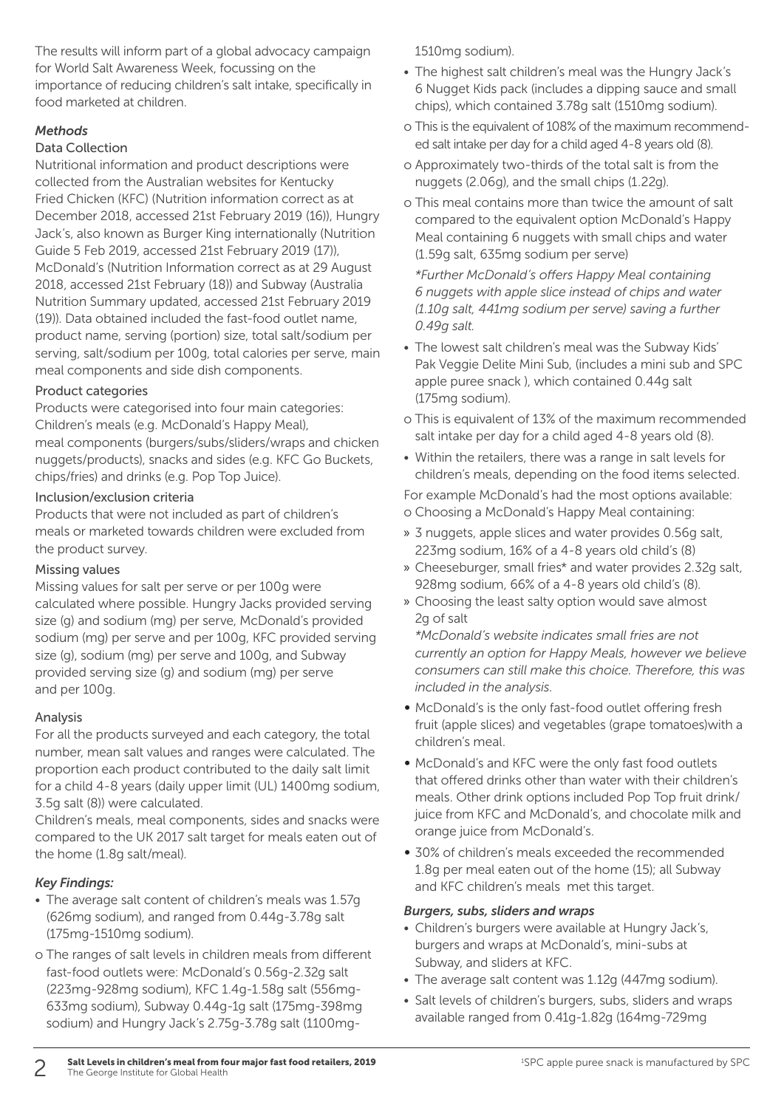The results will inform part of a global advocacy campaign for World Salt Awareness Week, focussing on the importance of reducing children's salt intake, specifically in food marketed at children.

#### *Methods*

#### Data Collection

Nutritional information and product descriptions were collected from the Australian websites for Kentucky Fried Chicken (KFC) (Nutrition information correct as at December 2018, accessed 21st February 2019 (16)), Hungry Jack's, also known as Burger King internationally (Nutrition Guide 5 Feb 2019, accessed 21st February 2019 (17)), McDonald's (Nutrition Information correct as at 29 August 2018, accessed 21st February (18)) and Subway (Australia Nutrition Summary updated, accessed 21st February 2019 (19)). Data obtained included the fast-food outlet name, product name, serving (portion) size, total salt/sodium per serving, salt/sodium per 100g, total calories per serve, main meal components and side dish components.

#### Product categories

Products were categorised into four main categories: Children's meals (e.g. McDonald's Happy Meal), meal components (burgers/subs/sliders/wraps and chicken nuggets/products), snacks and sides (e.g. KFC Go Buckets, chips/fries) and drinks (e.g. Pop Top Juice).

#### Inclusion/exclusion criteria

Products that were not included as part of children's meals or marketed towards children were excluded from the product survey.

#### Missing values

Missing values for salt per serve or per 100g were calculated where possible. Hungry Jacks provided serving size (g) and sodium (mg) per serve, McDonald's provided sodium (mg) per serve and per 100g, KFC provided serving size (g), sodium (mg) per serve and 100g, and Subway provided serving size (g) and sodium (mg) per serve and per 100g.

#### Analysis

For all the products surveyed and each category, the total number, mean salt values and ranges were calculated. The proportion each product contributed to the daily salt limit for a child 4-8 years (daily upper limit (UL) 1400mg sodium, 3.5g salt (8)) were calculated.

Children's meals, meal components, sides and snacks were compared to the UK 2017 salt target for meals eaten out of the home (1.8g salt/meal).

#### *Key Findings:*

- The average salt content of children's meals was 1.57g (626mg sodium), and ranged from 0.44g-3.78g salt (175mg-1510mg sodium).
- o The ranges of salt levels in children meals from different fast-food outlets were: McDonald's 0.56g-2.32g salt (223mg-928mg sodium), KFC 1.4g-1.58g salt (556mg-633mg sodium), Subway 0.44g-1g salt (175mg-398mg sodium) and Hungry Jack's 2.75g-3.78g salt (1100mg-

1510mg sodium).

- The highest salt children's meal was the Hungry Jack's 6 Nugget Kids pack (includes a dipping sauce and small chips), which contained 3.78g salt (1510mg sodium).
- o This is the equivalent of 108% of the maximum recommended salt intake per day for a child aged 4-8 years old (8).
- o Approximately two-thirds of the total salt is from the nuggets (2.06g), and the small chips (1.22g).
- o This meal contains more than twice the amount of salt compared to the equivalent option McDonald's Happy Meal containing 6 nuggets with small chips and water (1.59g salt, 635mg sodium per serve)

*\*Further McDonald's off ers Happy Meal containing 6 nuggets with apple slice instead of chips and water (1.10g salt, 441mg sodium per serve) saving a further 0.49g salt.* 

- The lowest salt children's meal was the Subway Kids' Pak Veggie Delite Mini Sub, (includes a mini sub and SPC apple puree snack ), which contained 0.44g salt (175mg sodium).
- o This is equivalent of 13% of the maximum recommended salt intake per day for a child aged 4-8 years old (8).
- Within the retailers, there was a range in salt levels for children's meals, depending on the food items selected.

For example McDonald's had the most options available: o Choosing a McDonald's Happy Meal containing:

- » 3 nuggets, apple slices and water provides 0.56g salt, 223mg sodium, 16% of a 4-8 years old child's (8)
- » Cheeseburger, small fries\* and water provides 2.32g salt, 928mg sodium, 66% of a 4-8 years old child's (8).
- » Choosing the least salty option would save almost 2g of salt

*\*McDonald's website indicates small fries are not currently an option for Happy Meals, however we believe consumers can still make this choice. Therefore, this was included in the analysis.*

- McDonald's is the only fast-food outlet offering fresh fruit (apple slices) and vegetables (grape tomatoes)with a children's meal.
- McDonald's and KFC were the only fast food outlets that offered drinks other than water with their children's meals. Other drink options included Pop Top fruit drink/ juice from KFC and McDonald's, and chocolate milk and orange juice from McDonald's.
- 30% of children's meals exceeded the recommended 1.8g per meal eaten out of the home (15); all Subway and KFC children's meals met this target.

#### *Burgers, subs, sliders and wraps*

- Children's burgers were available at Hungry Jack's, burgers and wraps at McDonald's, mini-subs at Subway, and sliders at KFC.
- The average salt content was 1.12g (447mg sodium).
- Salt levels of children's burgers, subs, sliders and wraps available ranged from 0.41g-1.82g (164mg-729mg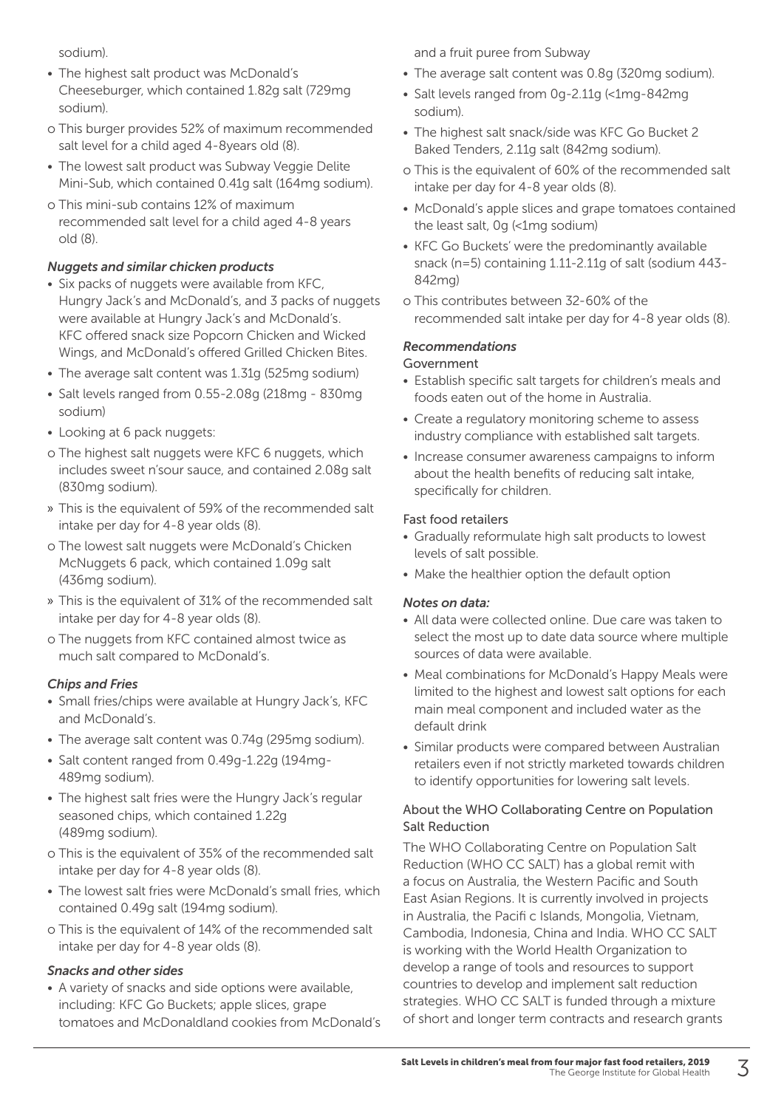sodium).

- The highest salt product was McDonald's Cheeseburger, which contained 1.82g salt (729mg sodium).
- o This burger provides 52% of maximum recommended salt level for a child aged 4-8years old (8).
- The lowest salt product was Subway Veggie Delite Mini-Sub, which contained 0.41g salt (164mg sodium).
- o This mini-sub contains 12% of maximum recommended salt level for a child aged 4-8 years old (8).

#### *Nuggets and similar chicken products*

- Six packs of nuggets were available from KFC, Hungry Jack's and McDonald's, and 3 packs of nuggets were available at Hungry Jack's and McDonald's. KFC offered snack size Popcorn Chicken and Wicked Wings, and McDonald's offered Grilled Chicken Bites.
- The average salt content was 1.31g (525mg sodium)
- Salt levels ranged from 0.55-2.08g (218mg 830mg sodium)
- Looking at 6 pack nuggets:
- o The highest salt nuggets were KFC 6 nuggets, which includes sweet n'sour sauce, and contained 2.08g salt (830mg sodium).
- » This is the equivalent of 59% of the recommended salt intake per day for 4-8 year olds (8).
- o The lowest salt nuggets were McDonald's Chicken McNuggets 6 pack, which contained 1.09g salt (436mg sodium).
- » This is the equivalent of 31% of the recommended salt intake per day for 4-8 year olds (8).
- o The nuggets from KFC contained almost twice as much salt compared to McDonald's.

## *Chips and Fries*

- Small fries/chips were available at Hungry Jack's, KFC and McDonald's.
- The average salt content was 0.74g (295mg sodium).
- Salt content ranged from 0.49g-1.22g (194mg-489mg sodium).
- The highest salt fries were the Hungry Jack's regular seasoned chips, which contained 1.22g (489mg sodium).
- o This is the equivalent of 35% of the recommended salt intake per day for 4-8 year olds (8).
- The lowest salt fries were McDonald's small fries, which contained 0.49g salt (194mg sodium).
- o This is the equivalent of 14% of the recommended salt intake per day for 4-8 year olds (8).

#### *Snacks and other sides*

• A variety of snacks and side options were available, including: KFC Go Buckets; apple slices, grape tomatoes and McDonaldland cookies from McDonald's and a fruit puree from Subway

- The average salt content was 0.8g (320mg sodium).
- Salt levels ranged from 0g-2.11g (<1mg-842mg sodium).
- The highest salt snack/side was KFC Go Bucket 2 Baked Tenders, 2.11g salt (842mg sodium).
- o This is the equivalent of 60% of the recommended salt intake per day for 4-8 year olds (8).
- McDonald's apple slices and grape tomatoes contained the least salt, 0g (<1mg sodium)
- KFC Go Buckets' were the predominantly available snack (n=5) containing 1.11-2.11g of salt (sodium 443- 842mg)
- o This contributes between 32-60% of the recommended salt intake per day for 4-8 year olds (8).

## *Recommendations*

#### Government

- Establish specific salt targets for children's meals and foods eaten out of the home in Australia.
- Create a regulatory monitoring scheme to assess industry compliance with established salt targets.
- Increase consumer awareness campaigns to inform about the health benefits of reducing salt intake, specifically for children.

#### Fast food retailers

- Gradually reformulate high salt products to lowest levels of salt possible.
- Make the healthier option the default option

#### *Notes on data:*

- All data were collected online. Due care was taken to select the most up to date data source where multiple sources of data were available.
- Meal combinations for McDonald's Happy Meals were limited to the highest and lowest salt options for each main meal component and included water as the default drink
- Similar products were compared between Australian retailers even if not strictly marketed towards children to identify opportunities for lowering salt levels.

#### About the WHO Collaborating Centre on Population Salt Reduction

The WHO Collaborating Centre on Population Salt Reduction (WHO CC SALT) has a global remit with a focus on Australia, the Western Pacific and South East Asian Regions. It is currently involved in projects in Australia, the Pacifi c Islands, Mongolia, Vietnam, Cambodia, Indonesia, China and India. WHO CC SALT is working with the World Health Organization to develop a range of tools and resources to support countries to develop and implement salt reduction strategies. WHO CC SALT is funded through a mixture of short and longer term contracts and research grants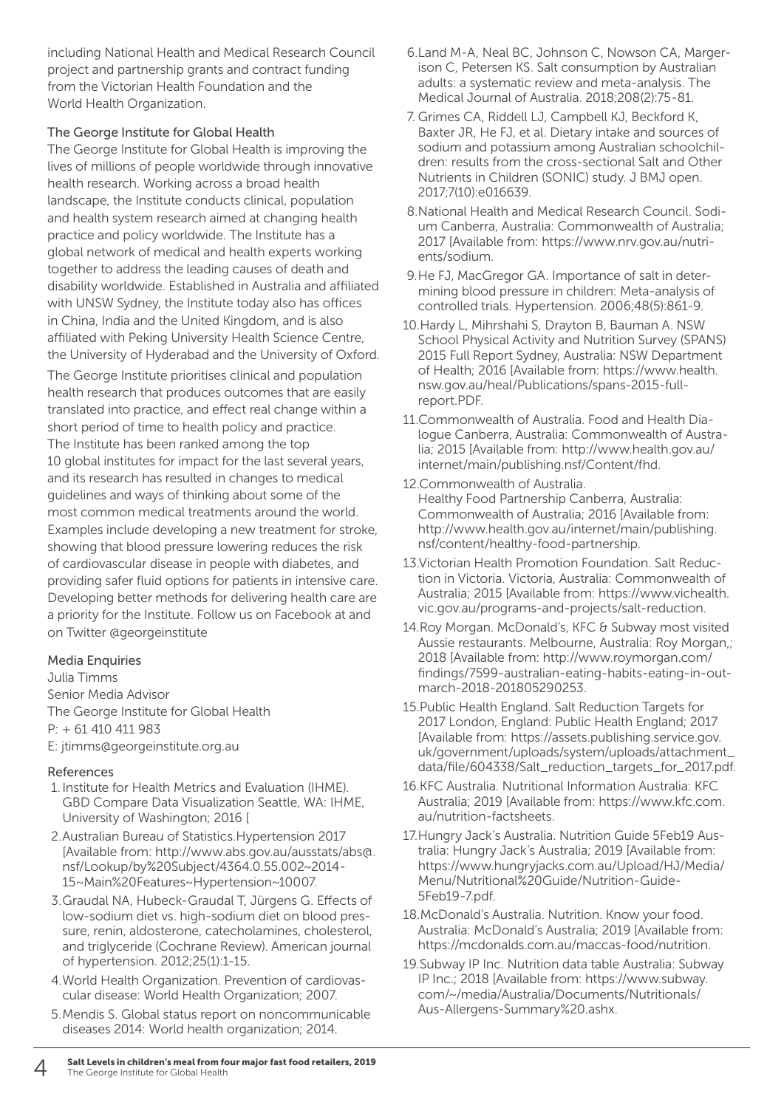including National Health and Medical Research Council project and partnership grants and contract funding from the Victorian Health Foundation and the World Health Organization.

#### The George Institute for Global Health

The George Institute for Global Health is improving the lives of millions of people worldwide through innovative health research. Working across a broad health landscape, the Institute conducts clinical, population and health system research aimed at changing health practice and policy worldwide. The Institute has a global network of medical and health experts working together to address the leading causes of death and disability worldwide. Established in Australia and affiliated with UNSW Sydney, the Institute today also has offices in China, India and the United Kingdom, and is also affiliated with Peking University Health Science Centre, the University of Hyderabad and the University of Oxford. The George Institute prioritises clinical and population health research that produces outcomes that are easily translated into practice, and effect real change within a short period of time to health policy and practice. The Institute has been ranked among the top 10 global institutes for impact for the last several years, and its research has resulted in changes to medical guidelines and ways of thinking about some of the most common medical treatments around the world. Examples include developing a new treatment for stroke, showing that blood pressure lowering reduces the risk of cardiovascular disease in people with diabetes, and providing safer fluid options for patients in intensive care. Developing better methods for delivering health care are a priority for the Institute. Follow us on Facebook at and on Twitter @georgeinstitute

#### Media Enquiries

Julia Timms Senior Media Advisor The George Institute for Global Health P: + 61 410 411 983 E: jtimms@georgeinstitute.org.au

#### References

- 1. Institute for Health Metrics and Evaluation (IHME). GBD Compare Data Visualization Seattle, WA: IHME, University of Washington; 2016 [
- 2. Australian Bureau of Statistics.Hypertension 2017 [Available from: http://www.abs.gov.au/ausstats/abs@. nsf/Lookup/by%20Subject/4364.0.55.002~2014- 15~Main%20Features~Hypertension~10007.
- 3. Graudal NA, Hubeck-Graudal T, Jürgens G. Effects of low-sodium diet vs. high-sodium diet on blood pressure, renin, aldosterone, catecholamines, cholesterol, and triglyceride (Cochrane Review). American journal of hypertension. 2012;25(1):1-15.
- 4. World Health Organization. Prevention of cardiovascular disease: World Health Organization; 2007.
- 5. Mendis S. Global status report on noncommunicable diseases 2014: World health organization; 2014.
- 6. Land M-A, Neal BC, Johnson C, Nowson CA, Margerison C, Petersen KS. Salt consumption by Australian adults: a systematic review and meta-analysis. The Medical Journal of Australia. 2018;208(2):75-81.
- 7. Grimes CA, Riddell LJ, Campbell KJ, Beckford K, Baxter JR, He FJ, et al. Dietary intake and sources of sodium and potassium among Australian schoolchildren: results from the cross-sectional Salt and Other Nutrients in Children (SONIC) study. J BMJ open. 2017;7(10):e016639.
- 8. National Health and Medical Research Council. Sodium Canberra, Australia: Commonwealth of Australia; 2017 [Available from: https://www.nrv.gov.au/nutrients/sodium.
- 9. He FJ, MacGregor GA. Importance of salt in determining blood pressure in children: Meta-analysis of controlled trials. Hypertension. 2006;48(5):861-9.
- 10.Hardy L, Mihrshahi S, Drayton B, Bauman A. NSW School Physical Activity and Nutrition Survey (SPANS) 2015 Full Report Sydney, Australia: NSW Department of Health; 2016 [Available from: https://www.health. nsw.gov.au/heal/Publications/spans-2015-fullreport.PDF.
- 11.Commonwealth of Australia. Food and Health Dialogue Canberra, Australia: Commonwealth of Australia; 2015 [Available from: http://www.health.gov.au/ internet/main/publishing.nsf/Content/fhd.
- 12.Commonwealth of Australia. Healthy Food Partnership Canberra, Australia: Commonwealth of Australia; 2016 [Available from: http://www.health.gov.au/internet/main/publishing. nsf/content/healthy-food-partnership.
- 13.Victorian Health Promotion Foundation. Salt Reduction in Victoria. Victoria, Australia: Commonwealth of Australia; 2015 [Available from: https://www.vichealth. vic.gov.au/programs-and-projects/salt-reduction.
- 14.Roy Morgan. McDonald's, KFC & Subway most visited Aussie restaurants. Melbourne, Australia: Roy Morgan,; 2018 [Available from: http://www.roymorgan.com/ findings/7599-australian-eating-habits-eating-in-outmarch-2018-201805290253.
- 15.Public Health England. Salt Reduction Targets for 2017 London, England: Public Health England; 2017 [Available from: https://assets.publishing.service.gov. uk/government/uploads/system/uploads/attachment\_ data/file/604338/Salt\_reduction\_targets\_for\_2017.pdf.
- 16.KFC Australia. Nutritional Information Australia: KFC Australia; 2019 [Available from: https://www.kfc.com. au/nutrition-factsheets.
- 17. Hungry Jack's Australia. Nutrition Guide 5Feb19 Australia: Hungry Jack's Australia; 2019 [Available from: https://www.hungryjacks.com.au/Upload/HJ/Media/ Menu/Nutritional%20Guide/Nutrition-Guide-5Feb19-7.pdf.
- 18.McDonald's Australia. Nutrition. Know your food. Australia: McDonald's Australia; 2019 [Available from: https://mcdonalds.com.au/maccas-food/nutrition.
- 19.Subway IP Inc. Nutrition data table Australia: Subway IP Inc.; 2018 [Available from: https://www.subway. com/~/media/Australia/Documents/Nutritionals/ Aus-Allergens-Summary%20.ashx.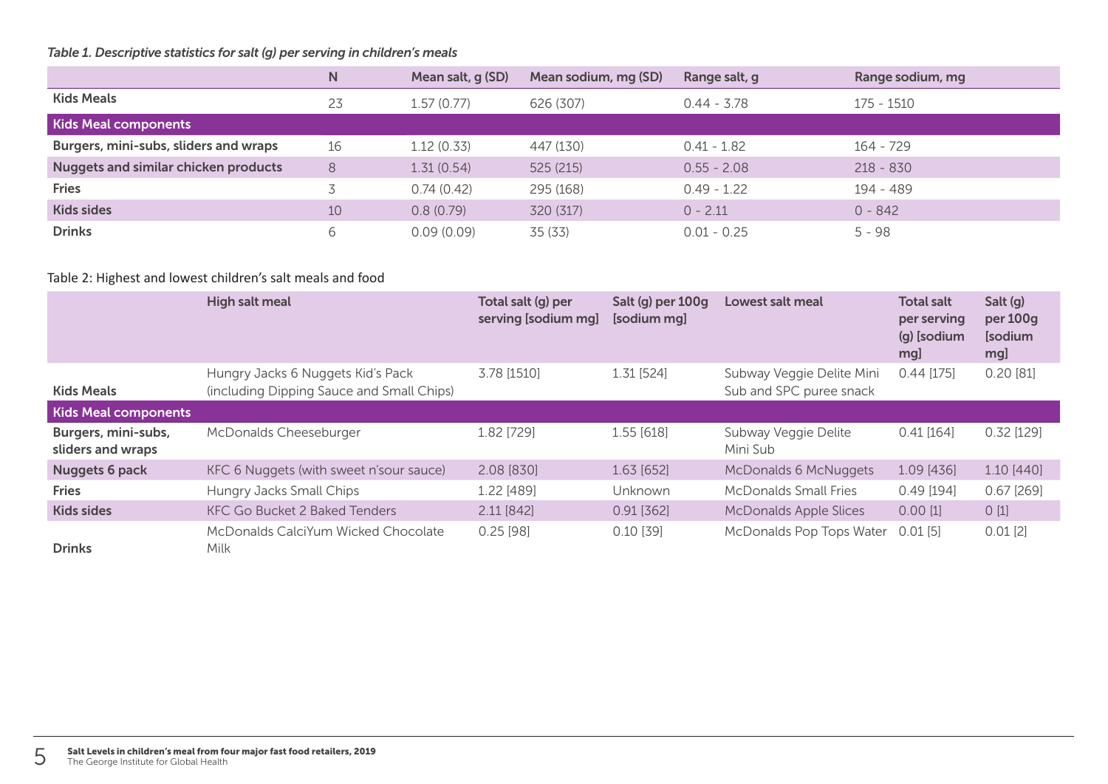## *Table 1. Descriptive statistics for salt (g) per serving in children's meals*

|                                             | N  | Mean salt, g (SD) | Mean sodium, mg (SD) | Range salt, g | Range sodium, mg |
|---------------------------------------------|----|-------------------|----------------------|---------------|------------------|
| <b>Kids Meals</b>                           | 23 | 1.57 (0.77)       | 626 (307)            | $0.44 - 3.78$ | 175 - 1510       |
| <b>Kids Meal components</b>                 |    |                   |                      |               |                  |
| Burgers, mini-subs, sliders and wraps       | 16 | 1.12(0.33)        | 447 (130)            | $0.41 - 1.82$ | $164 - 729$      |
| <b>Nuggets and similar chicken products</b> | 8  | 1.31(0.54)        | 525(215)             | $0.55 - 2.08$ | $218 - 830$      |
| <b>Fries</b>                                |    | 0.74(0.42)        | 295 (168)            | $0.49 - 1.22$ | 194 - 489        |
| <b>Kids sides</b>                           | 10 | 0.8(0.79)         | 320 (317)            | $0 - 2.11$    | $0 - 842$        |
| <b>Drinks</b>                               | 6  | 0.09(0.09)        | 35 (33)              | $0.01 - 0.25$ | $5 - 98$         |

## Table 2: Highest and lowest children's salt meals and food

|                                          | High salt meal                                                                 | Total salt (g) per<br>serving [sodium mg] | Salt (g) per 100g<br>[sodium mg] | Lowest salt meal                                     | <b>Total salt</b><br>per serving<br>(g) [sodium<br>mg] | Salt (g)<br>per 100g<br>[sodium<br>mg] |
|------------------------------------------|--------------------------------------------------------------------------------|-------------------------------------------|----------------------------------|------------------------------------------------------|--------------------------------------------------------|----------------------------------------|
| <b>Kids Meals</b>                        | Hungry Jacks 6 Nuggets Kid's Pack<br>(including Dipping Sauce and Small Chips) | 3.78 [1510]                               | 1.31 [524]                       | Subway Veggie Delite Mini<br>Sub and SPC puree snack | $0.44$ [175]                                           | 0.20[81]                               |
| <b>Kids Meal components</b>              |                                                                                |                                           |                                  |                                                      |                                                        |                                        |
| Burgers, mini-subs,<br>sliders and wraps | McDonalds Cheeseburger                                                         | 1.82 [729]                                | $1.55$ [618]                     | Subway Veggie Delite<br>Mini Sub                     | $0.41$ [164]                                           | $0.32$ [129]                           |
| Nuggets 6 pack                           | KFC 6 Nuggets (with sweet n'sour sauce)                                        | 2.08 [830]                                | $1.63$ [652]                     | McDonalds 6 McNuggets                                | 1.09 [436]                                             | $1.10$ [440]                           |
| <b>Fries</b>                             | Hungry Jacks Small Chips                                                       | 1.22 [489]                                | Unknown                          | McDonalds Small Fries                                | $0.49$ [194]                                           | $0.67$ [269]                           |
| <b>Kids sides</b>                        | <b>KFC Go Bucket 2 Baked Tenders</b>                                           | $2.11$ [842]                              | $0.91$ [362]                     | <b>McDonalds Apple Slices</b>                        | $0.00$ [1]                                             | 0[1]                                   |
| <b>Drinks</b>                            | McDonalds CalciYum Wicked Chocolate<br>Milk                                    | $0.25$ [98]                               | $0.10$ [39]                      | McDonalds Pop Tops Water                             | $0.01$ [5]                                             | $0.01$ [2]                             |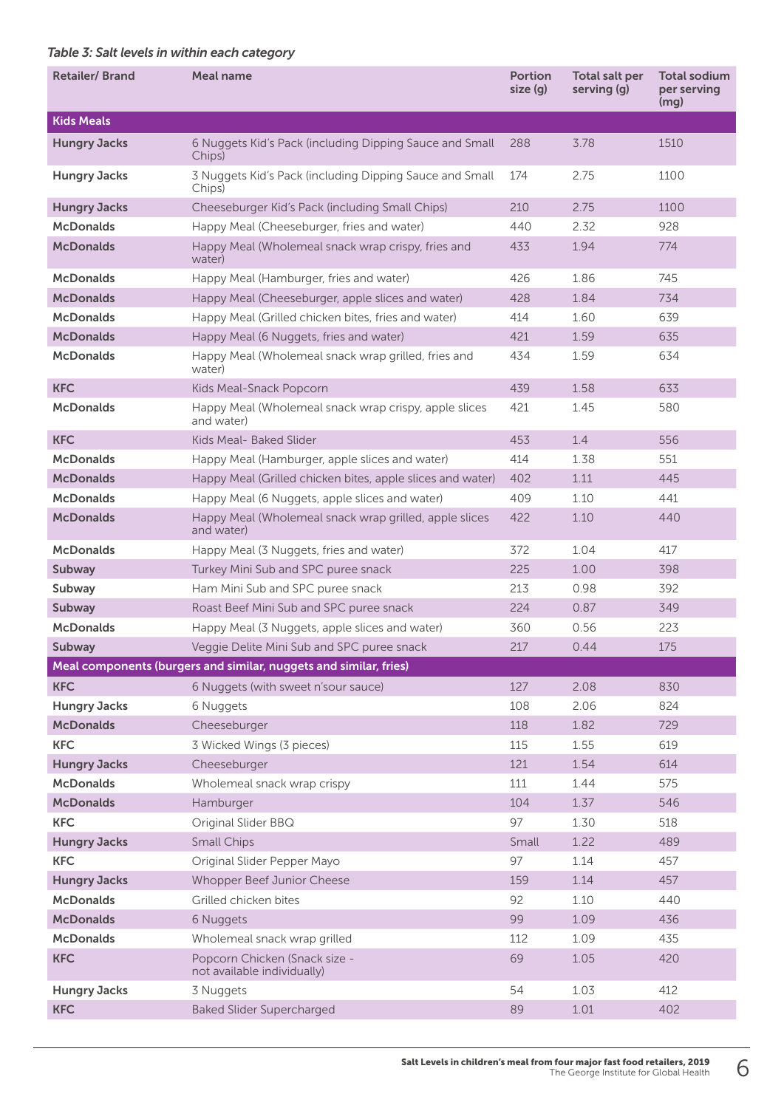### *Table 3: Salt levels in within each category*

| <b>Retailer/Brand</b> | Meal name                                                            | <b>Portion</b><br>size (q) | Total salt per<br>serving (g) | <b>Total sodium</b><br>per serving<br>(mq) |
|-----------------------|----------------------------------------------------------------------|----------------------------|-------------------------------|--------------------------------------------|
| <b>Kids Meals</b>     |                                                                      |                            |                               |                                            |
| <b>Hungry Jacks</b>   | 6 Nuggets Kid's Pack (including Dipping Sauce and Small<br>Chips)    | 288                        | 3.78                          | 1510                                       |
| <b>Hungry Jacks</b>   | 3 Nuggets Kid's Pack (including Dipping Sauce and Small<br>Chips)    | 174                        | 2.75                          | 1100                                       |
| <b>Hungry Jacks</b>   | Cheeseburger Kid's Pack (including Small Chips)                      | 210                        | 2.75                          | 1100                                       |
| <b>McDonalds</b>      | Happy Meal (Cheeseburger, fries and water)                           | 440                        | 2.32                          | 928                                        |
| <b>McDonalds</b>      | Happy Meal (Wholemeal snack wrap crispy, fries and<br>water)         | 433                        | 1.94                          | 774                                        |
| <b>McDonalds</b>      | Happy Meal (Hamburger, fries and water)                              | 426                        | 1.86                          | 745                                        |
| <b>McDonalds</b>      | Happy Meal (Cheeseburger, apple slices and water)                    | 428                        | 1.84                          | 734                                        |
| <b>McDonalds</b>      | Happy Meal (Grilled chicken bites, fries and water)                  | 414                        | 1.60                          | 639                                        |
| <b>McDonalds</b>      | Happy Meal (6 Nuggets, fries and water)                              | 421                        | 1.59                          | 635                                        |
| <b>McDonalds</b>      | Happy Meal (Wholemeal snack wrap grilled, fries and<br>water)        | 434                        | 1.59                          | 634                                        |
| <b>KFC</b>            | Kids Meal-Snack Popcorn                                              | 439                        | 1.58                          | 633                                        |
| <b>McDonalds</b>      | Happy Meal (Wholemeal snack wrap crispy, apple slices<br>and water)  | 421                        | 1.45                          | 580                                        |
| <b>KFC</b>            | Kids Meal- Baked Slider                                              | 453                        | 1.4                           | 556                                        |
| <b>McDonalds</b>      | Happy Meal (Hamburger, apple slices and water)                       | 414                        | 1.38                          | 551                                        |
| <b>McDonalds</b>      | Happy Meal (Grilled chicken bites, apple slices and water)           | 402                        | 1.11                          | 445                                        |
| <b>McDonalds</b>      | Happy Meal (6 Nuggets, apple slices and water)                       | 409                        | 1.10                          | 441                                        |
| <b>McDonalds</b>      | Happy Meal (Wholemeal snack wrap grilled, apple slices<br>and water) | 422                        | 1.10                          | 440                                        |
| <b>McDonalds</b>      | Happy Meal (3 Nuggets, fries and water)                              | 372                        | 1.04                          | 417                                        |
| Subway                | Turkey Mini Sub and SPC puree snack                                  | 225                        | 1.00                          | 398                                        |
| Subway                | Ham Mini Sub and SPC puree snack                                     | 213                        | 0.98                          | 392                                        |
| Subway                | Roast Beef Mini Sub and SPC puree snack                              | 224                        | 0.87                          | 349                                        |
| <b>McDonalds</b>      | Happy Meal (3 Nuggets, apple slices and water)                       | 360                        | 0.56                          | 223                                        |
| Subway                | Veggie Delite Mini Sub and SPC puree snack                           | 217                        | 0.44                          | 175                                        |
|                       | Meal components (burgers and similar, nuggets and similar, fries)    |                            |                               |                                            |
| <b>KFC</b>            | 6 Nuggets (with sweet n'sour sauce)                                  | 127                        | 2.08                          | 830                                        |
| <b>Hungry Jacks</b>   | 6 Nuggets                                                            | 108                        | 2.06                          | 824                                        |
| <b>McDonalds</b>      | Cheeseburger                                                         | 118                        | 1.82                          | 729                                        |
| <b>KFC</b>            | 3 Wicked Wings (3 pieces)                                            | 115                        | 1.55                          | 619                                        |
| <b>Hungry Jacks</b>   | Cheeseburger                                                         | 121                        | 1.54                          | 614                                        |
| <b>McDonalds</b>      | Wholemeal snack wrap crispy                                          | 111                        | 1.44                          | 575                                        |
| <b>McDonalds</b>      | Hamburger                                                            | 104                        | 1.37                          | 546                                        |
| <b>KFC</b>            | Original Slider BBQ                                                  | 97                         | 1.30                          | 518                                        |
| <b>Hungry Jacks</b>   | <b>Small Chips</b>                                                   | Small                      | 1.22                          | 489                                        |
| <b>KFC</b>            | Original Slider Pepper Mayo                                          | 97                         | 1.14                          | 457                                        |
| <b>Hungry Jacks</b>   | Whopper Beef Junior Cheese                                           | 159                        | 1.14                          | 457                                        |
| <b>McDonalds</b>      | Grilled chicken bites                                                | 92                         | 1.10                          | 440                                        |
| <b>McDonalds</b>      | 6 Nuggets                                                            | 99                         | 1.09                          | 436                                        |
| <b>McDonalds</b>      | Wholemeal snack wrap grilled                                         | 112                        | 1.09                          | 435                                        |
| <b>KFC</b>            | Popcorn Chicken (Snack size -<br>not available individually)         | 69                         | 1.05                          | 420                                        |
| <b>Hungry Jacks</b>   | 3 Nuggets                                                            | 54                         | 1.03                          | 412                                        |
| <b>KFC</b>            | <b>Baked Slider Supercharged</b>                                     | 89                         | 1.01                          | 402                                        |